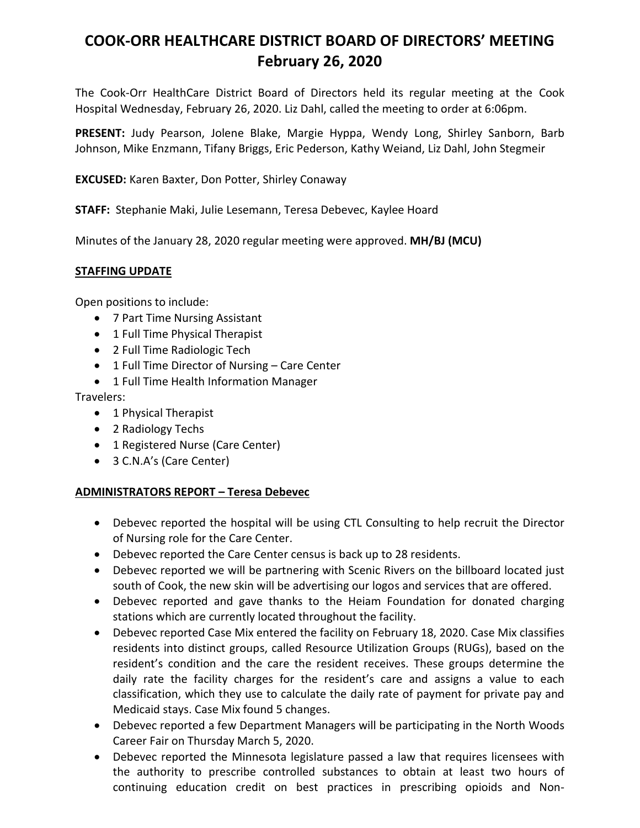# **COOK-ORR HEALTHCARE DISTRICT BOARD OF DIRECTORS' MEETING February 26, 2020**

The Cook-Orr HealthCare District Board of Directors held its regular meeting at the Cook Hospital Wednesday, February 26, 2020. Liz Dahl, called the meeting to order at 6:06pm.

**PRESENT:** Judy Pearson, Jolene Blake, Margie Hyppa, Wendy Long, Shirley Sanborn, Barb Johnson, Mike Enzmann, Tifany Briggs, Eric Pederson, Kathy Weiand, Liz Dahl, John Stegmeir

**EXCUSED:** Karen Baxter, Don Potter, Shirley Conaway

**STAFF:** Stephanie Maki, Julie Lesemann, Teresa Debevec, Kaylee Hoard

Minutes of the January 28, 2020 regular meeting were approved. **MH/BJ (MCU)**

#### **STAFFING UPDATE**

Open positions to include:

- 7 Part Time Nursing Assistant
- 1 Full Time Physical Therapist
- 2 Full Time Radiologic Tech
- 1 Full Time Director of Nursing Care Center
- 1 Full Time Health Information Manager

Travelers:

- 1 Physical Therapist
- 2 Radiology Techs
- 1 Registered Nurse (Care Center)
- 3 C.N.A's (Care Center)

#### **ADMINISTRATORS REPORT – Teresa Debevec**

- Debevec reported the hospital will be using CTL Consulting to help recruit the Director of Nursing role for the Care Center.
- Debevec reported the Care Center census is back up to 28 residents.
- Debevec reported we will be partnering with Scenic Rivers on the billboard located just south of Cook, the new skin will be advertising our logos and services that are offered.
- Debevec reported and gave thanks to the Heiam Foundation for donated charging stations which are currently located throughout the facility.
- Debevec reported Case Mix entered the facility on February 18, 2020. Case Mix classifies residents into distinct groups, called Resource Utilization Groups (RUGs), based on the resident's condition and the care the resident receives. These groups determine the daily rate the facility charges for the resident's care and assigns a value to each classification, which they use to calculate the daily rate of payment for private pay and Medicaid stays. Case Mix found 5 changes.
- Debevec reported a few Department Managers will be participating in the North Woods Career Fair on Thursday March 5, 2020.
- Debevec reported the Minnesota legislature passed a law that requires licensees with the authority to prescribe controlled substances to obtain at least two hours of continuing education credit on best practices in prescribing opioids and Non-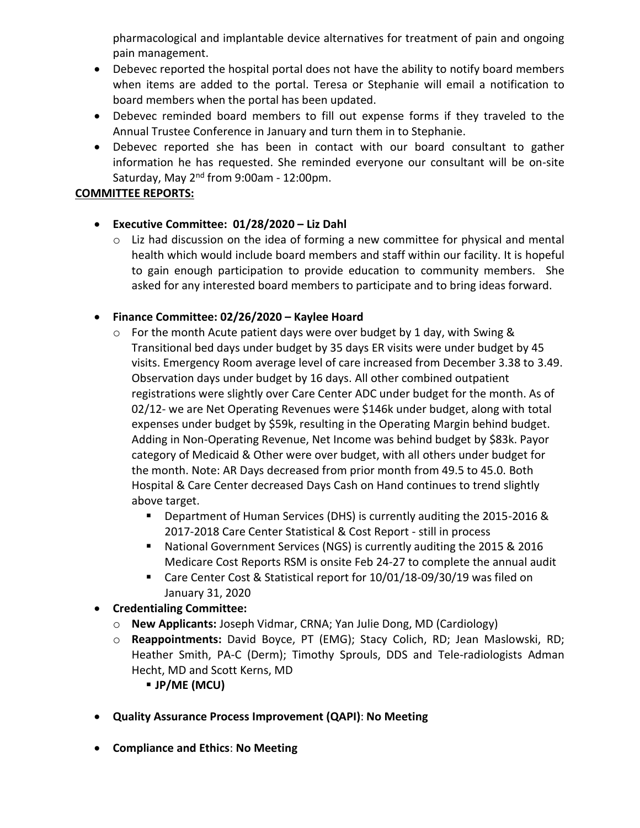pharmacological and implantable device alternatives for treatment of pain and ongoing pain management.

- Debevec reported the hospital portal does not have the ability to notify board members when items are added to the portal. Teresa or Stephanie will email a notification to board members when the portal has been updated.
- Debevec reminded board members to fill out expense forms if they traveled to the Annual Trustee Conference in January and turn them in to Stephanie.
- Debevec reported she has been in contact with our board consultant to gather information he has requested. She reminded everyone our consultant will be on-site Saturday, May 2nd from 9:00am - 12:00pm.

### **COMMITTEE REPORTS:**

### • **Executive Committee: 01/28/2020 – Liz Dahl**

 $\circ$  Liz had discussion on the idea of forming a new committee for physical and mental health which would include board members and staff within our facility. It is hopeful to gain enough participation to provide education to community members. She asked for any interested board members to participate and to bring ideas forward.

### • **Finance Committee: 02/26/2020 – Kaylee Hoard**

- $\circ$  For the month Acute patient days were over budget by 1 day, with Swing & Transitional bed days under budget by 35 days ER visits were under budget by 45 visits. Emergency Room average level of care increased from December 3.38 to 3.49. Observation days under budget by 16 days. All other combined outpatient registrations were slightly over Care Center ADC under budget for the month. As of 02/12- we are Net Operating Revenues were \$146k under budget, along with total expenses under budget by \$59k, resulting in the Operating Margin behind budget. Adding in Non-Operating Revenue, Net Income was behind budget by \$83k. Payor category of Medicaid & Other were over budget, with all others under budget for the month. Note: AR Days decreased from prior month from 49.5 to 45.0. Both Hospital & Care Center decreased Days Cash on Hand continues to trend slightly above target.
	- Department of Human Services (DHS) is currently auditing the 2015-2016 & 2017-2018 Care Center Statistical & Cost Report - still in process
	- National Government Services (NGS) is currently auditing the 2015 & 2016 Medicare Cost Reports RSM is onsite Feb 24-27 to complete the annual audit
	- Care Center Cost & Statistical report for 10/01/18-09/30/19 was filed on January 31, 2020
- **Credentialing Committee:**
	- o **New Applicants:** Joseph Vidmar, CRNA; Yan Julie Dong, MD (Cardiology)
	- o **Reappointments:** David Boyce, PT (EMG); Stacy Colich, RD; Jean Maslowski, RD; Heather Smith, PA-C (Derm); Timothy Sprouls, DDS and Tele-radiologists Adman Hecht, MD and Scott Kerns, MD
		- **JP/ME (MCU)**
- **Quality Assurance Process Improvement (QAPI)**: **No Meeting**
- **Compliance and Ethics**: **No Meeting**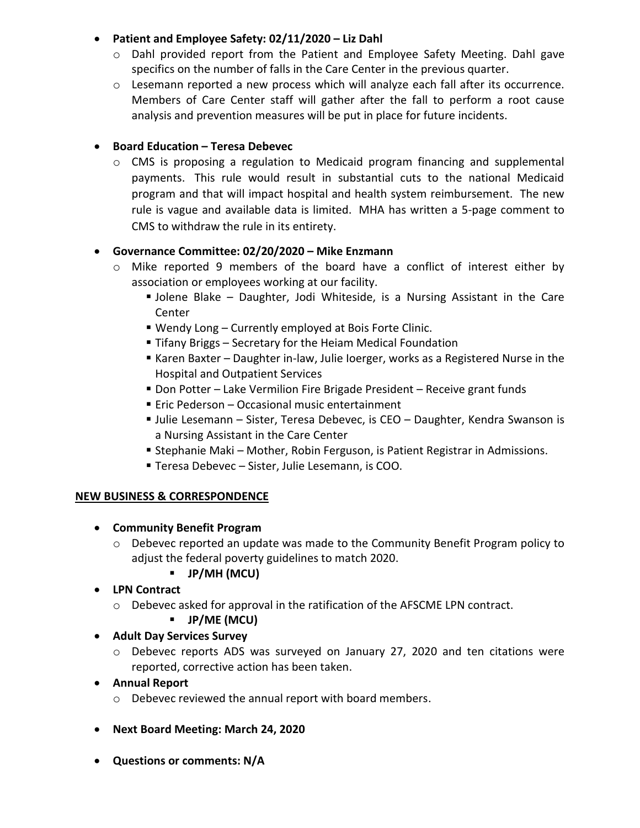### • **Patient and Employee Safety: 02/11/2020 – Liz Dahl**

- $\circ$  Dahl provided report from the Patient and Employee Safety Meeting. Dahl gave specifics on the number of falls in the Care Center in the previous quarter.
- $\circ$  Lesemann reported a new process which will analyze each fall after its occurrence. Members of Care Center staff will gather after the fall to perform a root cause analysis and prevention measures will be put in place for future incidents.

# • **Board Education – Teresa Debevec**

 $\circ$  CMS is proposing a regulation to Medicaid program financing and supplemental payments. This rule would result in substantial cuts to the national Medicaid program and that will impact hospital and health system reimbursement. The new rule is vague and available data is limited. MHA has written a 5-page comment to CMS to withdraw the rule in its entirety.

# • **Governance Committee: 02/20/2020 – Mike Enzmann**

- o Mike reported 9 members of the board have a conflict of interest either by association or employees working at our facility.
	- **Jolene Blake Daughter, Jodi Whiteside, is a Nursing Assistant in the Care Center**
	- Wendy Long Currently employed at Bois Forte Clinic.
	- Tifany Briggs Secretary for the Heiam Medical Foundation
	- Karen Baxter Daughter in-law, Julie Ioerger, works as a Registered Nurse in the Hospital and Outpatient Services
	- Don Potter Lake Vermilion Fire Brigade President Receive grant funds
	- Eric Pederson Occasional music entertainment
	- **Julie Lesemann Sister, Teresa Debevec, is CEO Daughter, Kendra Swanson is** a Nursing Assistant in the Care Center
	- Stephanie Maki Mother, Robin Ferguson, is Patient Registrar in Admissions.
	- **Teresa Debevec Sister, Julie Lesemann, is COO.**

#### **NEW BUSINESS & CORRESPONDENCE**

- **Community Benefit Program**
	- $\circ$  Debevec reported an update was made to the Community Benefit Program policy to adjust the federal poverty guidelines to match 2020.

# ▪ **JP/MH (MCU)**

- **LPN Contract**
	- o Debevec asked for approval in the ratification of the AFSCME LPN contract.

# ▪ **JP/ME (MCU)**

- **Adult Day Services Survey**
	- o Debevec reports ADS was surveyed on January 27, 2020 and ten citations were reported, corrective action has been taken.
- **Annual Report**
	- o Debevec reviewed the annual report with board members.
- **Next Board Meeting: March 24, 2020**
- **Questions or comments: N/A**